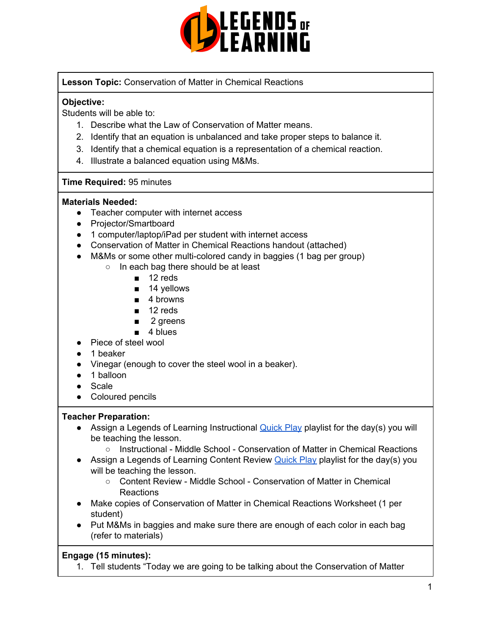

**Lesson Topic:** Conservation of Matter in Chemical Reactions

#### **Objective:**

Students will be able to:

- 1. Describe what the Law of Conservation of Matter means.
- 2. Identify that an equation is unbalanced and take proper steps to balance it.
- 3. Identify that a chemical equation is a representation of a chemical reaction.
- 4. Illustrate a balanced equation using M&Ms.

#### **Time Required:** 95 minutes

#### **Materials Needed:**

- Teacher computer with internet access
- Projector/Smartboard
- 1 computer/laptop/iPad per student with internet access
- Conservation of Matter in Chemical Reactions handout (attached)
- M&Ms or some other multi-colored candy in baggies (1 bag per group)
	- In each bag there should be at least
		- 12 reds
		- 14 yellows
		- 4 browns
		- 12 reds
		- 2 greens
		- 4 blues
- Piece of steel wool
- 1 beaker
- Vinegar (enough to cover the steel wool in a beaker).
- 1 balloon
- Scale
- Coloured pencils

#### **Teacher Preparation:**

- Assign a Legends of Learning Instructional **[Quick](https://intercom.help/legends-of-learning/en/articles/2701866-assigning-a-quick-play-playlist) Play playlist for the day(s)** you will be teaching the lesson.
	- Instructional Middle School Conservation of Matter in Chemical Reactions
- Assign a Legends of Learning Content Review **[Quick](https://intercom.help/legends-of-learning/en/articles/2701866-assigning-a-quick-play-playlist) Play playlist for the day(s)** you will be teaching the lesson.
	- Content Review Middle School Conservation of Matter in Chemical Reactions
- Make copies of Conservation of Matter in Chemical Reactions Worksheet (1 per student)
- Put M&Ms in baggies and make sure there are enough of each color in each bag (refer to materials)

#### **Engage (15 minutes):**

1. Tell students "Today we are going to be talking about the Conservation of Matter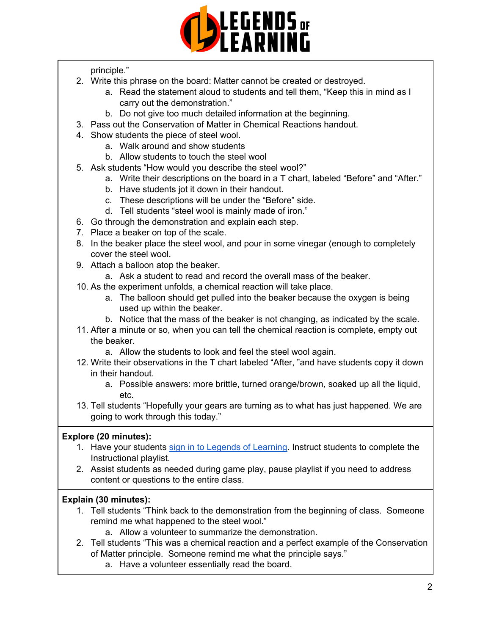

principle."

- 2. Write this phrase on the board: Matter cannot be created or destroyed.
	- a. Read the statement aloud to students and tell them, "Keep this in mind as I carry out the demonstration."
	- b. Do not give too much detailed information at the beginning.
- 3. Pass out the Conservation of Matter in Chemical Reactions handout.
- 4. Show students the piece of steel wool.
	- a. Walk around and show students
	- b. Allow students to touch the steel wool
- 5. Ask students "How would you describe the steel wool?"
	- a. Write their descriptions on the board in a T chart, labeled "Before" and "After."
	- b. Have students jot it down in their handout.
	- c. These descriptions will be under the "Before" side.
	- d. Tell students "steel wool is mainly made of iron."
- 6. Go through the demonstration and explain each step.
- 7. Place a beaker on top of the scale.
- 8. In the beaker place the steel wool, and pour in some vinegar (enough to completely cover the steel wool.
- 9. Attach a balloon atop the beaker.
	- a. Ask a student to read and record the overall mass of the beaker.
- 10. As the experiment unfolds, a chemical reaction will take place.
	- a. The balloon should get pulled into the beaker because the oxygen is being used up within the beaker.
	- b. Notice that the mass of the beaker is not changing, as indicated by the scale.
- 11. After a minute or so, when you can tell the chemical reaction is complete, empty out the beaker.
	- a. Allow the students to look and feel the steel wool again.
- 12. Write their observations in the T chart labeled "After, "and have students copy it down in their handout.
	- a. Possible answers: more brittle, turned orange/brown, soaked up all the liquid, etc.
- 13. Tell students "Hopefully your gears are turning as to what has just happened. We are going to work through this today."

#### **Explore (20 minutes):**

- 1. Have your students sign in to Legends of [Learning](https://intercom.help/legends-of-learning/en/articles/2154920-students-joining-a-playlist). Instruct students to complete the Instructional playlist.
- 2. Assist students as needed during game play, pause playlist if you need to address content or questions to the entire class.

#### **Explain (30 minutes):**

- 1. Tell students "Think back to the demonstration from the beginning of class. Someone remind me what happened to the steel wool."
	- a. Allow a volunteer to summarize the demonstration.
- 2. Tell students "This was a chemical reaction and a perfect example of the Conservation of Matter principle. Someone remind me what the principle says."
	- a. Have a volunteer essentially read the board.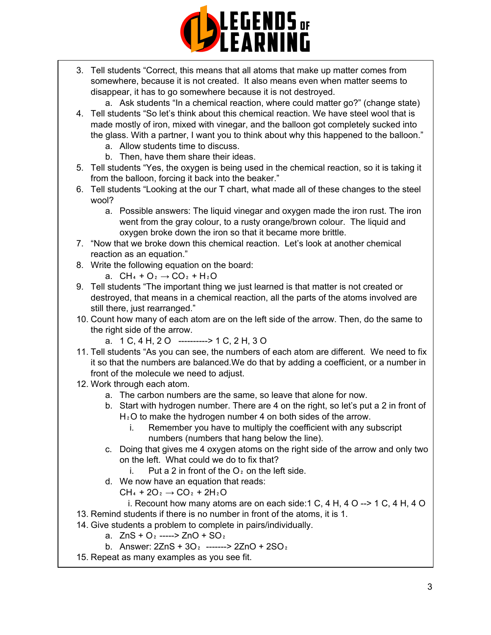

3. Tell students "Correct, this means that all atoms that make up matter comes from somewhere, because it is not created. It also means even when matter seems to disappear, it has to go somewhere because it is not destroyed.

a. Ask students "In a chemical reaction, where could matter go?" (change state)

- 4. Tell students "So let's think about this chemical reaction. We have steel wool that is made mostly of iron, mixed with vinegar, and the balloon got completely sucked into the glass. With a partner, I want you to think about why this happened to the balloon."
	- a. Allow students time to discuss.
	- b. Then, have them share their ideas.
- 5. Tell students "Yes, the oxygen is being used in the chemical reaction, so it is taking it from the balloon, forcing it back into the beaker."
- 6. Tell students "Looking at the our T chart, what made all of these changes to the steel wool?
	- a. Possible answers: The liquid vinegar and oxygen made the iron rust. The iron went from the gray colour, to a rusty orange/brown colour. The liquid and oxygen broke down the iron so that it became more brittle.
- 7. "Now that we broke down this chemical reaction. Let's look at another chemical reaction as an equation."
- 8. Write the following equation on the board:

a.  $CH_4 + O_2 \rightarrow CO_2 + H_2O$ 

- 9. Tell students "The important thing we just learned is that matter is not created or destroyed, that means in a chemical reaction, all the parts of the atoms involved are still there, just rearranged."
- 10. Count how many of each atom are on the left side of the arrow. Then, do the same to the right side of the arrow.

a. 1 C, 4 H, 2 O ----------> 1 C, 2 H, 3 O

- 11. Tell students "As you can see, the numbers of each atom are different. We need to fix it so that the numbers are balanced.We do that by adding a coefficient, or a number in front of the molecule we need to adjust.
- 12. Work through each atom.
	- a. The carbon numbers are the same, so leave that alone for now.
	- b. Start with hydrogen number. There are 4 on the right, so let's put a 2 in front of  $H<sub>2</sub>O$  to make the hydrogen number 4 on both sides of the arrow.
		- i. Remember you have to multiply the coefficient with any subscript numbers (numbers that hang below the line).
	- c. Doing that gives me 4 oxygen atoms on the right side of the arrow and only two on the left. What could we do to fix that?
		- i. Put a 2 in front of the  $O<sub>2</sub>$  on the left side.
	- d. We now have an equation that reads:

 $CH_4 + 2O_2 \rightarrow CO_2 + 2H_2O$ 

i. Recount how many atoms are on each side:1 C, 4 H, 4 O --> 1 C, 4 H, 4 O

- 13. Remind students if there is no number in front of the atoms, it is 1.
- 14. Give students a problem to complete in pairs/individually.
	- a.  $ZnS + O_2$  ----->  $ZnO + SO_2$
	- b. Answer:  $2ZnS + 3O_2$  ------->  $2ZnO + 2SO_2$
- 15. Repeat as many examples as you see fit.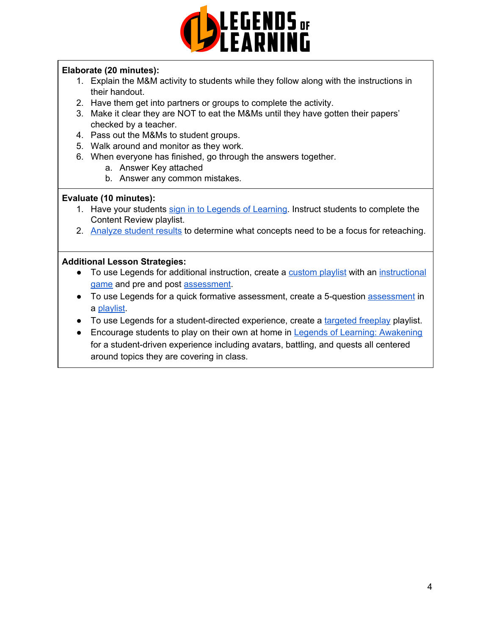

#### **Elaborate (20 minutes):**

- 1. Explain the M&M activity to students while they follow along with the instructions in their handout.
- 2. Have them get into partners or groups to complete the activity.
- 3. Make it clear they are NOT to eat the M&Ms until they have gotten their papers' checked by a teacher.
- 4. Pass out the M&Ms to student groups.
- 5. Walk around and monitor as they work.
- 6. When everyone has finished, go through the answers together.
	- a. Answer Key attached
	- b. Answer any common mistakes.

#### **Evaluate (10 minutes):**

- 1. Have your students sign in to Legends of [Learning](https://intercom.help/legends-of-learning/en/articles/2154920-students-joining-a-playlist). Instruct students to complete the Content Review playlist.
- 2. [Analyze](https://intercom.help/legends-of-learning/en/articles/2154918-tracking-student-progress-and-performance) student results to determine what concepts need to be a focus for reteaching.

#### **Additional Lesson Strategies:**

- To use Legends for additional instruction, create a [custom](https://intercom.help/legends-of-learning/en/articles/2154910-creating-a-playlist) playlist with an [instructional](https://intercom.help/legends-of-learning/en/articles/3505828-types-of-games) [game](https://intercom.help/legends-of-learning/en/articles/3505828-types-of-games) and pre and post [assessment](https://intercom.help/legends-of-learning/en/articles/2154913-adding-assessments-to-a-playlist).
- To use Legends for a quick formative [assessment](https://intercom.help/legends-of-learning/en/articles/2154913-adding-assessments-to-a-playlist), create a 5-question assessment in a [playlist](https://intercom.help/legends-of-learning/en/articles/2154910-creating-a-playlist).
- To use Legends for a student-directed experience, create a [targeted](https://intercom.help/legends-of-learning/en/articles/3340814-targeted-freeplay) freeplay playlist.
- Encourage students to play on their own at home in Legends of Learning: [Awakening](https://intercom.help/legends-of-learning/en/articles/2425490-legends-of-learning-awakening) for a student-driven experience including avatars, battling, and quests all centered around topics they are covering in class.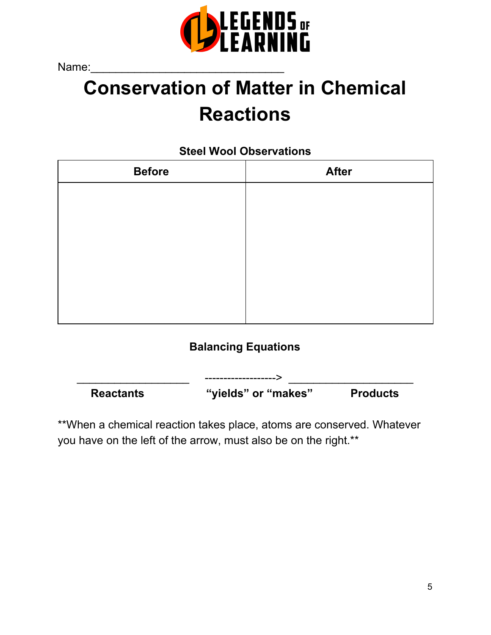

Name:\_\_\_\_\_\_\_\_\_\_\_\_\_\_\_\_\_\_\_\_\_\_\_\_\_\_\_\_\_\_\_

# **Conservation of Matter in Chemical Reactions**

### **Steel Wool Observations**

| <b>Before</b> | <b>After</b> |
|---------------|--------------|
|               |              |
|               |              |
|               |              |
|               |              |
|               |              |
|               |              |
|               |              |

### **Balancing Equations**



\*\*When a chemical reaction takes place, atoms are conserved. Whatever you have on the left of the arrow, must also be on the right.\*\*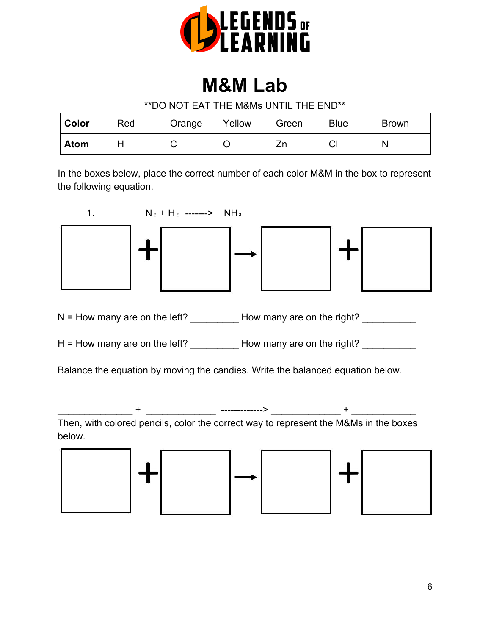

## **M&M Lab**

\*\*DO NOT EAT THE M&Ms UNTIL THE END\*\*

| Color       | Red | Orange | Yellow | Green | <b>Blue</b> | <b>Brown</b> |
|-------------|-----|--------|--------|-------|-------------|--------------|
| <b>Atom</b> |     | ╰      |        | Zn    | vı          |              |

In the boxes below, place the correct number of each color M&M in the box to represent the following equation.



 $N =$  How many are on the left?  $\blacksquare$  How many are on the right?

 $H =$  How many are on the left?  $H =$  How many are on the right?

Balance the equation by moving the candies. Write the balanced equation below.

Then, with colored pencils, color the correct way to represent the M&Ms in the boxes below.

\_\_\_\_\_\_\_\_\_\_\_\_\_\_ + \_\_\_\_\_\_\_\_\_\_\_\_\_ -------------> \_\_\_\_\_\_\_\_\_\_\_\_\_ + \_\_\_\_\_\_\_\_\_\_\_\_

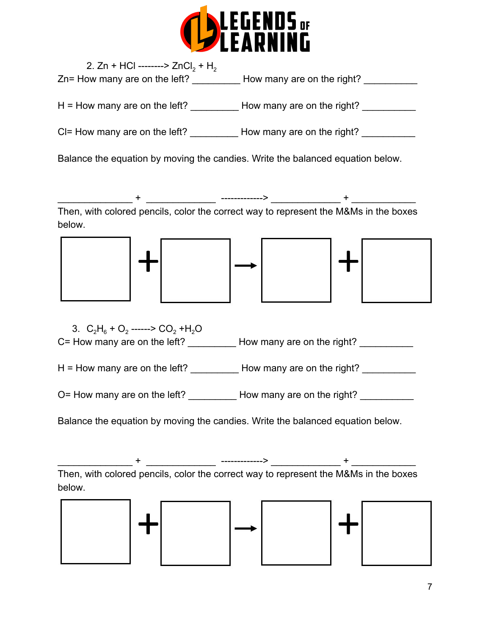

| 2. $Zn + HCl$ --------> $ZnCl_2 + H_2$<br>Zn= How many are on the left? | How many are on the right? |  |  |
|-------------------------------------------------------------------------|----------------------------|--|--|
| $H =$ How many are on the left?                                         | How many are on the right? |  |  |
| $Cl =$ How many are on the left?                                        | How many are on the right? |  |  |

Balance the equation by moving the candies. Write the balanced equation below.

\_\_\_\_\_\_\_\_\_\_\_\_\_\_ + \_\_\_\_\_\_\_\_\_\_\_\_\_ -------------> \_\_\_\_\_\_\_\_\_\_\_\_\_ + \_\_\_\_\_\_\_\_\_\_\_\_ Then, with colored pencils, color the correct way to represent the M&Ms in the boxes below.



3.  $C_2H_6 + O_2$  ------>  $CO_2 + H_2O$ C= How many are on the left?  $\frac{1}{2}$  How many are on the right? \_\_\_\_\_\_\_\_\_\_\_\_\_\_

H = How many are on the left?  $\qquad \qquad$  How many are on the right?  $\qquad \qquad$ 

O= How many are on the left? \_\_\_\_\_\_\_\_\_\_\_ How many are on the right? \_\_\_\_\_\_\_\_\_\_\_\_

Balance the equation by moving the candies. Write the balanced equation below.



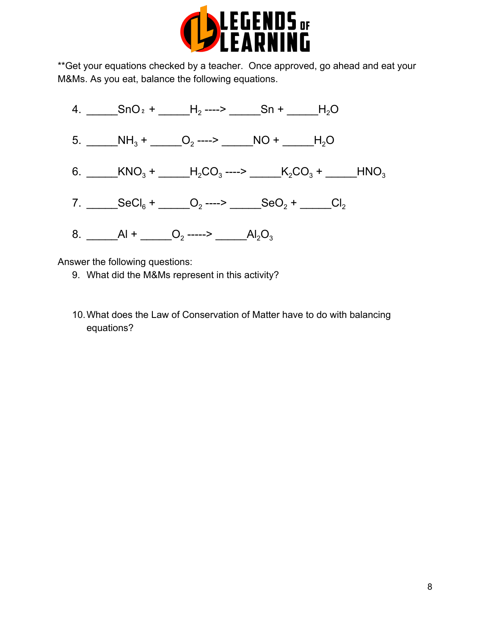

\*\*Get your equations checked by a teacher. Once approved, go ahead and eat your M&Ms. As you eat, balance the following equations.



Answer the following questions:

- 9. What did the M&Ms represent in this activity?
- 10.What does the Law of Conservation of Matter have to do with balancing equations?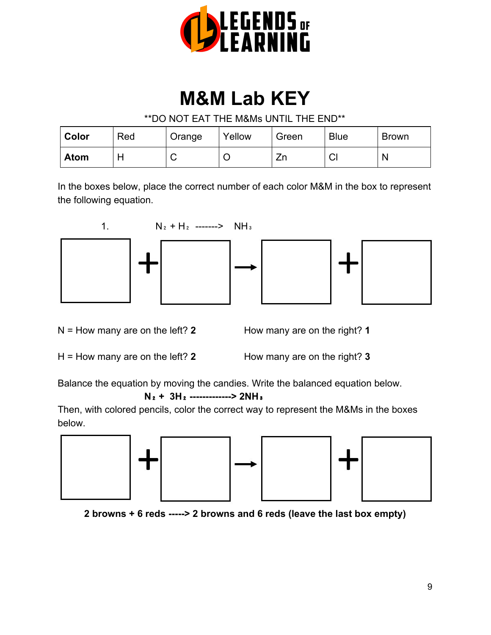

# **M&M Lab KEY**

\*\*DO NOT EAT THE M&Ms UNTIL THE END\*\*

| Color       | Red | Orange | Yellow | Green        | <b>Blue</b> | <b>Brown</b> |
|-------------|-----|--------|--------|--------------|-------------|--------------|
| <b>Atom</b> | ⊢   | ◡      | ◡      | $L_{\rm{L}}$ | ⌒<br>◡      | N            |

In the boxes below, place the correct number of each color M&M in the box to represent the following equation.



N = How many are on the left? 2 How many are on the right? 1

H = How many are on the left? 2 How many are on the right? 3

Balance the equation by moving the candies. Write the balanced equation below.

#### **N**₂ **+ 3H**₂ **-------------> 2NH**₃

Then, with colored pencils, color the correct way to represent the M&Ms in the boxes below.



**2 browns + 6 reds -----> 2 browns and 6 reds (leave the last box empty)**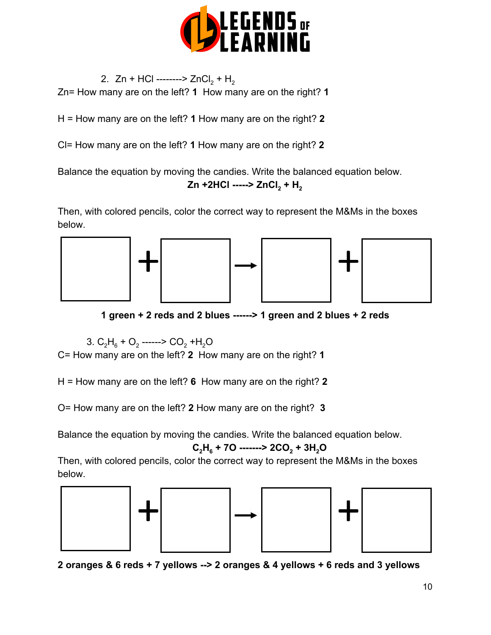

2. Zn + HCl --------> ZnCl<sub>2</sub> + H<sub>2</sub> Zn= How many are on the left? **1** How many are on the right? **1**

H = How many are on the left? **1** How many are on the right? **2**

Cl= How many are on the left? **1** How many are on the right? **2**

Balance the equation by moving the candies. Write the balanced equation below. **Zn +2HCl -----> ZnCl<sup>2</sup> + H<sup>2</sup>**

Then, with colored pencils, color the correct way to represent the M&Ms in the boxes below.









**1 green + 2 reds and 2 blues ------> 1 green and 2 blues + 2 reds**

3.  $C_2H_6 + O_2$  ------>  $CO_2 + H_2O$ 

C= How many are on the left? **2** How many are on the right? **1**

H = How many are on the left? **6** How many are on the right? **2**

O= How many are on the left? **2** How many are on the right? **3**

Balance the equation by moving the candies. Write the balanced equation below.

$$
C_2H_6 + 7O
$$
 3034-2CO<sub>2</sub> + 3H<sub>2</sub>O

Then, with colored pencils, color the correct way to represent the M&Ms in the boxes below.







**2 oranges & 6 reds + 7 yellows --> 2 oranges & 4 yellows + 6 reds and 3 yellows**